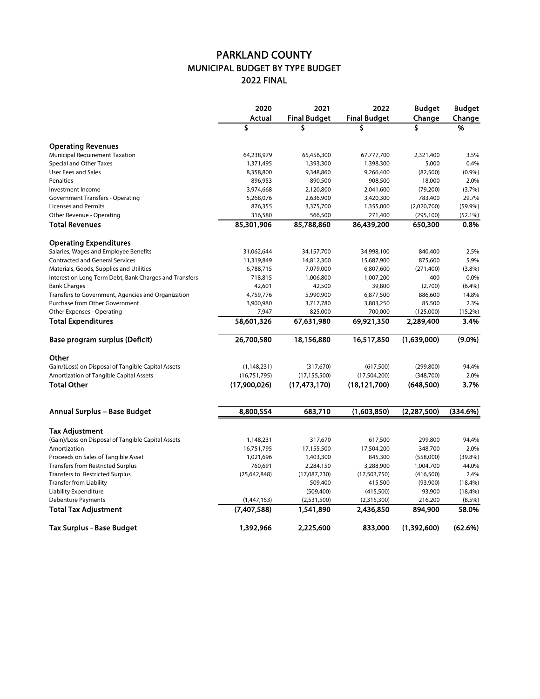## PARKLAND COUNTY MUNICIPAL BUDGET BY TYPE BUDGET 2022 FINAL

|                                                        | 2020<br>Actual | 2021<br><b>Final Budget</b> | 2022<br><b>Final Budget</b> | <b>Budget</b><br>Change | <b>Budget</b><br>Change |
|--------------------------------------------------------|----------------|-----------------------------|-----------------------------|-------------------------|-------------------------|
|                                                        |                |                             |                             |                         |                         |
|                                                        | \$             | \$                          | \$                          | \$                      | %                       |
| <b>Operating Revenues</b>                              |                |                             |                             |                         |                         |
| Municipal Requirement Taxation                         | 64,238,979     | 65,456,300                  | 67,777,700                  | 2,321,400               | 3.5%                    |
| Special and Other Taxes                                | 1,371,495      | 1,393,300                   | 1,398,300                   | 5,000                   | 0.4%                    |
| <b>User Fees and Sales</b>                             | 8,358,800      | 9,348,860                   | 9,266,400                   | (82,500)                | (0.9%                   |
| Penalties                                              | 896,953        | 890,500                     | 908,500                     | 18,000                  | 2.0%                    |
| Investment Income                                      | 3,974,668      | 2,120,800                   | 2,041,600                   | (79, 200)               | (3.7%)                  |
| <b>Government Transfers - Operating</b>                | 5,268,076      | 2,636,900                   | 3,420,300                   | 783,400                 | 29.7%                   |
| <b>Licenses and Permits</b>                            | 876,355        | 3,375,700                   | 1,355,000                   | (2,020,700)             | (59.9%)                 |
| Other Revenue - Operating                              | 316,580        | 566,500                     | 271,400                     | (295, 100)              | (52.1%)                 |
| <b>Total Revenues</b>                                  | 85,301,906     | 85,788,860                  | 86,439,200                  | 650,300                 | 0.8%                    |
| <b>Operating Expenditures</b>                          |                |                             |                             |                         |                         |
| Salaries, Wages and Employee Benefits                  | 31,062,644     | 34,157,700                  | 34,998,100                  | 840,400                 | 2.5%                    |
| <b>Contracted and General Services</b>                 | 11,319,849     | 14,812,300                  | 15,687,900                  | 875,600                 | 5.9%                    |
| Materials, Goods, Supplies and Utilities               | 6,788,715      | 7,079,000                   | 6,807,600                   | (271, 400)              | (3.8%)                  |
| Interest on Long Term Debt, Bank Charges and Transfers | 718,815        | 1,006,800                   | 1,007,200                   | 400                     | 0.0%                    |
| <b>Bank Charges</b>                                    | 42,601         | 42,500                      | 39,800                      | (2,700)                 | (6.4%)                  |
| Transfers to Government, Agencies and Organization     | 4,759,776      | 5,990,900                   | 6,877,500                   | 886,600                 | 14.8%                   |
| Purchase from Other Government                         | 3,900,980      | 3,717,780                   | 3,803,250                   | 85,500                  | 2.3%                    |
| Other Expenses - Operating                             | 7,947          | 825,000                     | 700,000                     | (125,000)               | $(15.2\%)$              |
| <b>Total Expenditures</b>                              | 58,601,326     | 67,631,980                  | 69,921,350                  | 2,289,400               | 3.4%                    |
| Base program surplus (Deficit)                         | 26,700,580     | 18,156,880                  | 16,517,850                  | (1,639,000)             | $(9.0\%)$               |
| Other                                                  |                |                             |                             |                         |                         |
| Gain/(Loss) on Disposal of Tangible Capital Assets     | (1, 148, 231)  | (317, 670)                  | (617,500)                   | (299, 800)              | 94.4%                   |
| Amortization of Tangible Capital Assets                | (16,751,795)   | (17, 155, 500)              | (17,504,200)                | (348, 700)              | 2.0%                    |
| <b>Total Other</b>                                     | (17,900,026)   | (17, 473, 170)              | (18, 121, 700)              | (648,500)               | 3.7%                    |
|                                                        |                |                             |                             |                         |                         |
| Annual Surplus - Base Budget                           | 8,800,554      | 683,710                     | (1,603,850)                 | (2, 287, 500)           | (334.6%)                |
| Tax Adjustment                                         |                |                             |                             |                         |                         |
| (Gain)/Loss on Disposal of Tangible Capital Assets     | 1,148,231      | 317,670                     | 617,500                     | 299,800                 | 94.4%                   |
| Amortization                                           | 16,751,795     | 17,155,500                  | 17,504,200                  | 348,700                 | 2.0%                    |
| Proceeds on Sales of Tangible Asset                    | 1,021,696      | 1,403,300                   | 845,300                     | (558,000)               | (39.8%)                 |
| <b>Transfers from Restricted Surplus</b>               | 760,691        | 2,284,150                   | 3,288,900                   | 1,004,700               | 44.0%                   |
| <b>Transfers to Restricted Surplus</b>                 | (25, 642, 848) | (17,087,230)                | (17,503,750)                | (416,500)               | 2.4%                    |
| <b>Transfer from Liability</b>                         |                | 509,400                     | 415,500                     | (93,900)                | $(18.4\%)$              |
| <b>Liability Expenditure</b>                           |                | (509,400)                   | (415,500)                   | 93,900                  | $(18.4\%)$              |
| <b>Debenture Payments</b>                              | (1,447,153)    | (2,531,500)                 | (2,315,300)                 | 216,200                 | $(8.5\%)$               |
| <b>Total Tax Adjustment</b>                            | (7,407,588)    | 1,541,890                   | 2,436,850                   | 894,900                 | 58.0%                   |
| <b>Tax Surplus - Base Budget</b>                       | 1,392,966      | 2,225,600                   | 833,000                     | (1,392,600)             | (62.6%)                 |